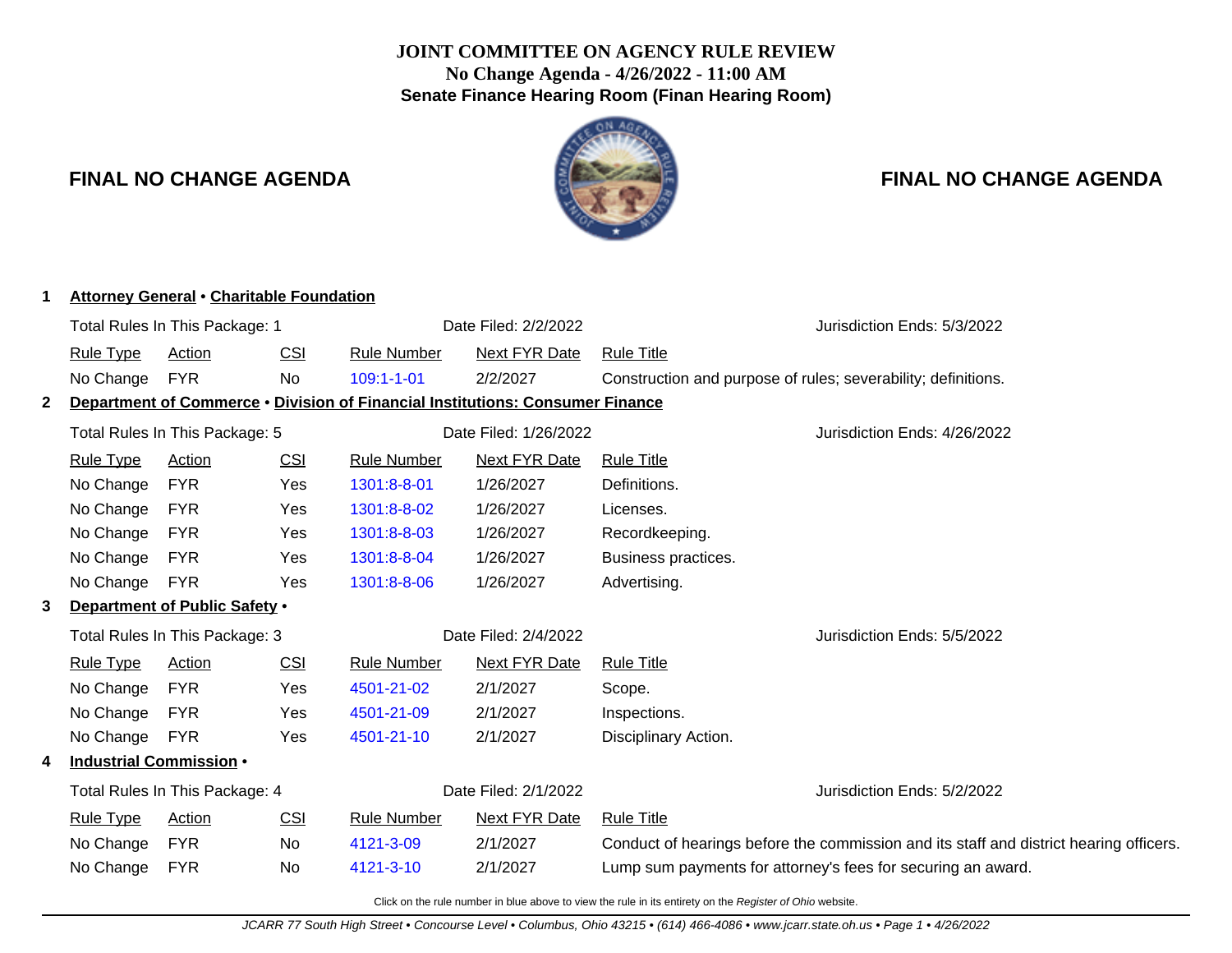## **JOINT COMMITTEE ON AGENCY RULE REVIEW No Change Agenda - 4/26/2022 - 11:00 AM Senate Finance Hearing Room (Finan Hearing Room)**



## **FINAL NO CHANGE AGENDA FINAL NO CHANGE AGENDA**

| 1 | <b>Attorney General • Charitable Foundation</b>                                      |                               |                      |                       |                              |                                                                                        |  |  |
|---|--------------------------------------------------------------------------------------|-------------------------------|----------------------|-----------------------|------------------------------|----------------------------------------------------------------------------------------|--|--|
|   | Total Rules In This Package: 1                                                       |                               |                      |                       | Date Filed: 2/2/2022         | Jurisdiction Ends: 5/3/2022                                                            |  |  |
|   | <b>Rule Type</b>                                                                     | <b>Action</b>                 | <b>CSI</b>           | <b>Rule Number</b>    | <b>Next FYR Date</b>         | <b>Rule Title</b>                                                                      |  |  |
|   | No Change                                                                            | <b>FYR</b>                    | No                   | $109:1 - 1 - 01$      | 2/2/2027                     | Construction and purpose of rules; severability; definitions.                          |  |  |
| 2 | <b>Department of Commerce • Division of Financial Institutions: Consumer Finance</b> |                               |                      |                       |                              |                                                                                        |  |  |
|   | Total Rules In This Package: 5                                                       |                               |                      | Date Filed: 1/26/2022 | Jurisdiction Ends: 4/26/2022 |                                                                                        |  |  |
|   | <b>Rule Type</b>                                                                     | <b>Action</b>                 | <b>CSI</b>           | <b>Rule Number</b>    | <b>Next FYR Date</b>         | <b>Rule Title</b>                                                                      |  |  |
|   | No Change                                                                            | <b>FYR</b>                    | Yes                  | 1301:8-8-01           | 1/26/2027                    | Definitions.                                                                           |  |  |
|   | No Change                                                                            | <b>FYR</b>                    | Yes                  | 1301:8-8-02           | 1/26/2027                    | Licenses.                                                                              |  |  |
|   | No Change                                                                            | <b>FYR</b>                    | Yes                  | 1301:8-8-03           | 1/26/2027                    | Recordkeeping.                                                                         |  |  |
|   | No Change                                                                            | <b>FYR</b>                    | Yes                  | 1301:8-8-04           | 1/26/2027                    | Business practices.                                                                    |  |  |
|   | No Change                                                                            | <b>FYR</b>                    | Yes                  | 1301:8-8-06           | 1/26/2027                    | Advertising.                                                                           |  |  |
| 3 |                                                                                      | Department of Public Safety . |                      |                       |                              |                                                                                        |  |  |
|   | Total Rules In This Package: 3                                                       |                               | Date Filed: 2/4/2022 |                       | Jurisdiction Ends: 5/5/2022  |                                                                                        |  |  |
|   | <b>Rule Type</b>                                                                     | <b>Action</b>                 | <b>CSI</b>           | <b>Rule Number</b>    | <b>Next FYR Date</b>         | <b>Rule Title</b>                                                                      |  |  |
|   | No Change                                                                            | <b>FYR</b>                    | Yes                  | 4501-21-02            | 2/1/2027                     | Scope.                                                                                 |  |  |
|   | No Change                                                                            | <b>FYR</b>                    | Yes                  | 4501-21-09            | 2/1/2027                     | Inspections.                                                                           |  |  |
|   | No Change                                                                            | <b>FYR</b>                    | Yes                  | 4501-21-10            | 2/1/2027                     | Disciplinary Action.                                                                   |  |  |
| 4 | Industrial Commission •                                                              |                               |                      |                       |                              |                                                                                        |  |  |
|   | Total Rules In This Package: 4                                                       |                               |                      | Date Filed: 2/1/2022  | Jurisdiction Ends: 5/2/2022  |                                                                                        |  |  |
|   | <b>Rule Type</b>                                                                     | <b>Action</b>                 | <b>CSI</b>           | <b>Rule Number</b>    | <b>Next FYR Date</b>         | <b>Rule Title</b>                                                                      |  |  |
|   | No Change                                                                            | <b>FYR</b>                    | No.                  | 4121-3-09             | 2/1/2027                     | Conduct of hearings before the commission and its staff and district hearing officers. |  |  |
|   | No Change                                                                            | <b>FYR</b>                    | No                   | 4121-3-10             | 2/1/2027                     | Lump sum payments for attorney's fees for securing an award.                           |  |  |
|   |                                                                                      |                               |                      |                       |                              |                                                                                        |  |  |

Click on the rule number in blue above to view the rule in its entirety on the Register of Ohio website.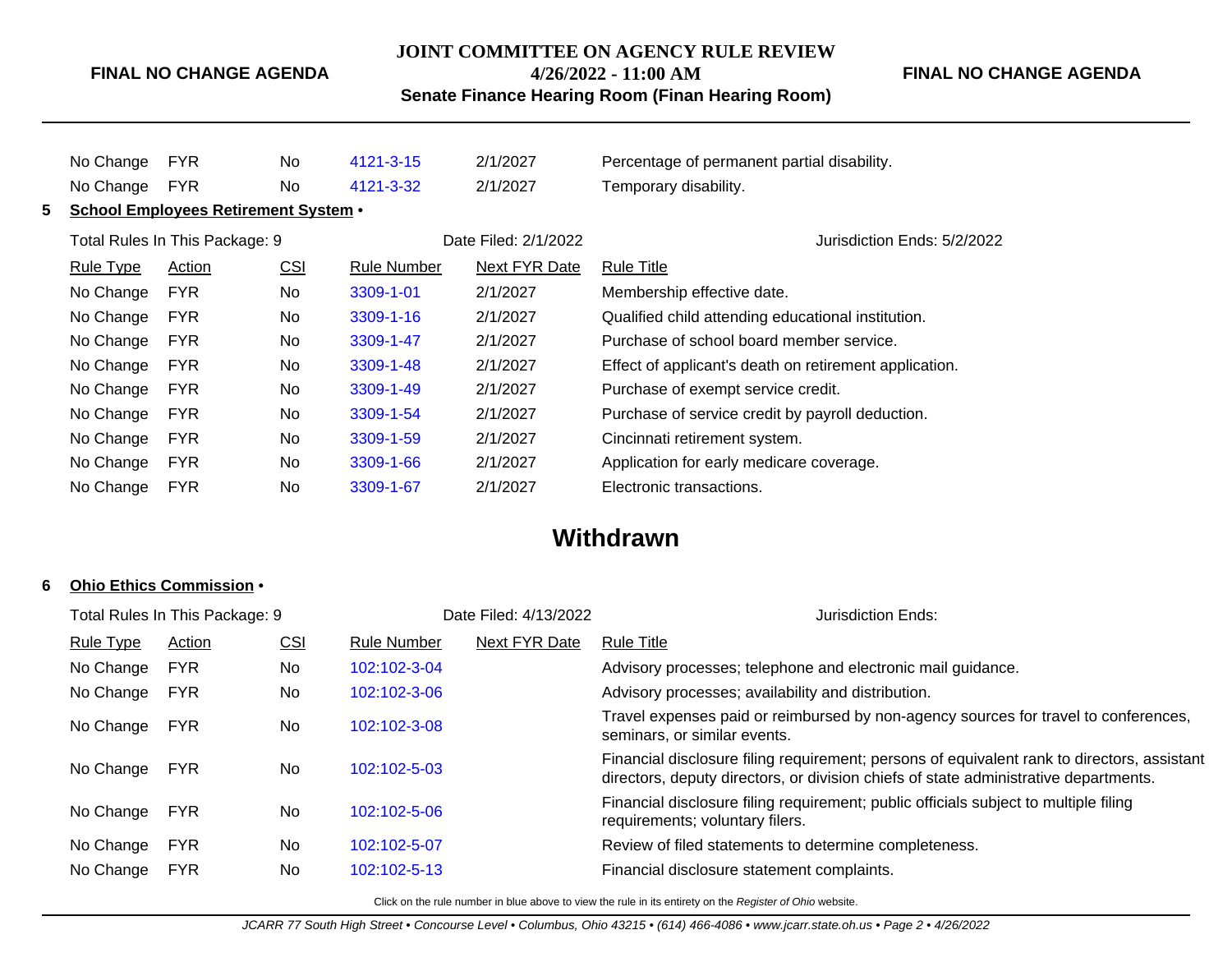### **FINAL NO CHANGE AGENDA**

#### **JOINT COMMITTEE ON AGENCY RULE REVIEW**

**4/26/2022 - 11:00 AM**

**Senate Finance Hearing Room (Finan Hearing Room)**

No Change FYR No [4121-3-15](http://www.registerofohio.state.oh.us/jsps/publicdisplayrules/processPublicDisplayRules.jsp?entered_rule_no=4121-3-15&doWhat=GETBYRULENUM&raID=0) 2/1/2027 Percentage of permanent partial disability. No Change FYR No [4121-3-32](http://www.registerofohio.state.oh.us/jsps/publicdisplayrules/processPublicDisplayRules.jsp?entered_rule_no=4121-3-32&doWhat=GETBYRULENUM&raID=0) 2/1/2027 Temporary disability. **5 School Employees Retirement System** • Total Rules In This Package: 9 **Date Filed: 2/1/2022** Jurisdiction Ends: 5/2/2022 Rule Type Action CSI Rule Number Next FYR Date Rule Title No Change FYR No [3309-1-01](http://www.registerofohio.state.oh.us/jsps/publicdisplayrules/processPublicDisplayRules.jsp?entered_rule_no=3309-1-01&doWhat=GETBYRULENUM&raID=0) 2/1/2027 Membership effective date. No Change FYR No [3309-1-16](http://www.registerofohio.state.oh.us/jsps/publicdisplayrules/processPublicDisplayRules.jsp?entered_rule_no=3309-1-16&doWhat=GETBYRULENUM&raID=0) 2/1/2027 Qualified child attending educational institution. No Change FYR No [3309-1-47](http://www.registerofohio.state.oh.us/jsps/publicdisplayrules/processPublicDisplayRules.jsp?entered_rule_no=3309-1-47&doWhat=GETBYRULENUM&raID=0) 2/1/2027 Purchase of school board member service. No Change FYR No [3309-1-48](http://www.registerofohio.state.oh.us/jsps/publicdisplayrules/processPublicDisplayRules.jsp?entered_rule_no=3309-1-48&doWhat=GETBYRULENUM&raID=0) 2/1/2027 Effect of applicant's death on retirement application. No Change FYR No [3309-1-49](http://www.registerofohio.state.oh.us/jsps/publicdisplayrules/processPublicDisplayRules.jsp?entered_rule_no=3309-1-49&doWhat=GETBYRULENUM&raID=0) 2/1/2027 Purchase of exempt service credit. No Change FYR No [3309-1-54](http://www.registerofohio.state.oh.us/jsps/publicdisplayrules/processPublicDisplayRules.jsp?entered_rule_no=3309-1-54&doWhat=GETBYRULENUM&raID=0) 2/1/2027 Purchase of service credit by payroll deduction. No Change FYR No [3309-1-59](http://www.registerofohio.state.oh.us/jsps/publicdisplayrules/processPublicDisplayRules.jsp?entered_rule_no=3309-1-59&doWhat=GETBYRULENUM&raID=0) 2/1/2027 Cincinnati retirement system. No Change FYR No [3309-1-66](http://www.registerofohio.state.oh.us/jsps/publicdisplayrules/processPublicDisplayRules.jsp?entered_rule_no=3309-1-66&doWhat=GETBYRULENUM&raID=0) 2/1/2027 Application for early medicare coverage. No Change FYR No [3309-1-67](http://www.registerofohio.state.oh.us/jsps/publicdisplayrules/processPublicDisplayRules.jsp?entered_rule_no=3309-1-67&doWhat=GETBYRULENUM&raID=0) 2/1/2027 Electronic transactions.

# **Withdrawn**

#### **6 Ohio Ethics Commission** •

| Total Rules In This Package: 9 |                  |               |            | Date Filed: 4/13/2022 |                      | Jurisdiction Ends:                                                                                                                                                                  |
|--------------------------------|------------------|---------------|------------|-----------------------|----------------------|-------------------------------------------------------------------------------------------------------------------------------------------------------------------------------------|
|                                | <b>Rule Type</b> | <b>Action</b> | <u>CSI</u> | <b>Rule Number</b>    | <b>Next FYR Date</b> | <b>Rule Title</b>                                                                                                                                                                   |
|                                | No Change        | <b>FYR</b>    | No.        | 102:102-3-04          |                      | Advisory processes; telephone and electronic mail guidance.                                                                                                                         |
|                                | No Change        | <b>FYR</b>    | No         | 102:102-3-06          |                      | Advisory processes; availability and distribution.                                                                                                                                  |
|                                | No Change        | <b>FYR</b>    | No         | 102:102-3-08          |                      | Travel expenses paid or reimbursed by non-agency sources for travel to conferences,<br>seminars, or similar events.                                                                 |
|                                | No Change        | <b>FYR</b>    | No         | 102:102-5-03          |                      | Financial disclosure filing requirement; persons of equivalent rank to directors, assistant<br>directors, deputy directors, or division chiefs of state administrative departments. |
|                                | No Change        | <b>FYR</b>    | No.        | 102:102-5-06          |                      | Financial disclosure filing requirement; public officials subject to multiple filing<br>requirements; voluntary filers.                                                             |
|                                | No Change        | <b>FYR</b>    | No         | 102:102-5-07          |                      | Review of filed statements to determine completeness.                                                                                                                               |
|                                | No Change        | <b>FYR</b>    | No         | 102:102-5-13          |                      | Financial disclosure statement complaints.                                                                                                                                          |
|                                |                  |               |            |                       |                      |                                                                                                                                                                                     |

Click on the rule number in blue above to view the rule in its entirety on the Register of Ohio website.

JCARR 77 South High Street • Concourse Level • Columbus, Ohio 43215 • (614) 466-4086 • www.jcarr.state.oh.us • Page 2 • 4/26/2022

**FINAL NO CHANGE AGENDA**